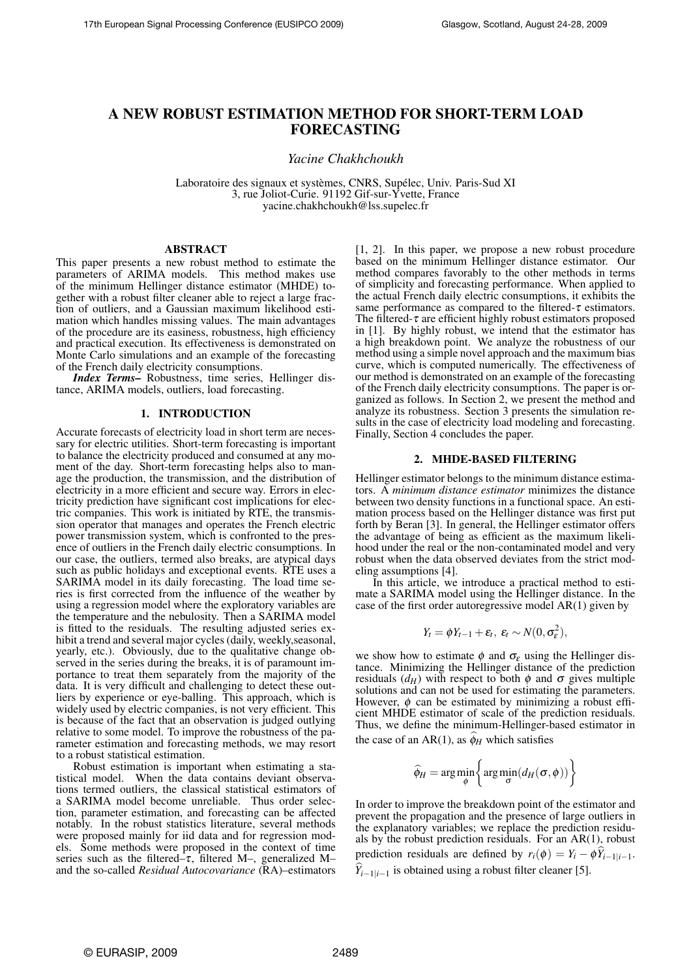# A NEW ROBUST ESTIMATION METHOD FOR SHORT-TERM LOAD FORECASTING

*Yacine Chakhchoukh*

Laboratoire des signaux et systèmes, CNRS, Supélec, Univ. Paris-Sud XI 3, rue Joliot-Curie. 91192 Gif-sur-Yvette, France yacine.chakhchoukh@lss.supelec.fr

### ABSTRACT

This paper presents a new robust method to estimate the parameters of ARIMA models. This method makes use of the minimum Hellinger distance estimator (MHDE) together with a robust filter cleaner able to reject a large fraction of outliers, and a Gaussian maximum likelihood estimation which handles missing values. The main advantages of the procedure are its easiness, robustness, high efficiency and practical execution. Its effectiveness is demonstrated on Monte Carlo simulations and an example of the forecasting of the French daily electricity consumptions.

*Index Terms–* Robustness, time series, Hellinger distance, ARIMA models, outliers, load forecasting.

# 1. INTRODUCTION

Accurate forecasts of electricity load in short term are necessary for electric utilities. Short-term forecasting is important to balance the electricity produced and consumed at any moment of the day. Short-term forecasting helps also to manage the production, the transmission, and the distribution of electricity in a more efficient and secure way. Errors in electricity prediction have significant cost implications for electric companies. This work is initiated by RTE, the transmission operator that manages and operates the French electric power transmission system, which is confronted to the presence of outliers in the French daily electric consumptions. In our case, the outliers, termed also breaks, are atypical days such as public holidays and exceptional events. RTE uses a SARIMA model in its daily forecasting. The load time series is first corrected from the influence of the weather by using a regression model where the exploratory variables are the temperature and the nebulosity. Then a SARIMA model is fitted to the residuals. The resulting adjusted series exhibit a trend and several major cycles (daily, weekly,seasonal, yearly, etc.). Obviously, due to the qualitative change observed in the series during the breaks, it is of paramount importance to treat them separately from the majority of the data. It is very difficult and challenging to detect these outliers by experience or eye-balling. This approach, which is widely used by electric companies, is not very efficient. This is because of the fact that an observation is judged outlying relative to some model. To improve the robustness of the parameter estimation and forecasting methods, we may resort to a robust statistical estimation.

Robust estimation is important when estimating a statistical model. When the data contains deviant observations termed outliers, the classical statistical estimators of a SARIMA model become unreliable. Thus order selection, parameter estimation, and forecasting can be affected notably. In the robust statistics literature, several methods were proposed mainly for iid data and for regression models. Some methods were proposed in the context of time series such as the filtered– $\tau$ , filtered M–, generalized M– and the so-called *Residual Autocovariance* (RA)–estimators [1, 2]. In this paper, we propose a new robust procedure based on the minimum Hellinger distance estimator. Our method compares favorably to the other methods in terms of simplicity and forecasting performance. When applied to the actual French daily electric consumptions, it exhibits the same performance as compared to the filtered- $\tau$  estimators. The filtered- $\tau$  are efficient highly robust estimators proposed in [1]. By highly robust, we intend that the estimator has a high breakdown point. We analyze the robustness of our method using a simple novel approach and the maximum bias curve, which is computed numerically. The effectiveness of our method is demonstrated on an example of the forecasting of the French daily electricity consumptions. The paper is organized as follows. In Section 2, we present the method and analyze its robustness. Section 3 presents the simulation results in the case of electricity load modeling and forecasting. Finally, Section 4 concludes the paper.

# 2. MHDE-BASED FILTERING

Hellinger estimator belongs to the minimum distance estimators. A *minimum distance estimator* minimizes the distance between two density functions in a functional space. An estimation process based on the Hellinger distance was first put forth by Beran [3]. In general, the Hellinger estimator offers the advantage of being as efficient as the maximum likelihood under the real or the non-contaminated model and very robust when the data observed deviates from the strict modeling assumptions [4].

In this article, we introduce a practical method to estimate a SARIMA model using the Hellinger distance. In the case of the first order autoregressive model AR(1) given by

$$
Y_t = \phi Y_{t-1} + \varepsilon_t, \; \varepsilon_t \sim N(0, \sigma_{\varepsilon}^2),
$$

we show how to estimate  $\phi$  and  $\sigma_{\varepsilon}$  using the Hellinger distance. Minimizing the Hellinger distance of the prediction residuals  $(d_H)$  with respect to both  $\phi$  and  $\sigma$  gives multiple solutions and can not be used for estimating the parameters. However,  $\phi$  can be estimated by minimizing a robust efficient MHDE estimator of scale of the prediction residuals. Thus, we define the minimum-Hellinger-based estimator in the case of an AR(1), as  $\phi$ <sub>*H*</sub> which satisfies

$$
\widehat{\phi}_H = \arg\min_{\phi} \left\{ \arg\min_{\sigma} (d_H(\sigma, \phi)) \right\}
$$

In order to improve the breakdown point of the estimator and prevent the propagation and the presence of large outliers in the explanatory variables; we replace the prediction residuals by the robust prediction residuals. For an AR(1), robust prediction residuals are defined by  $r_i(\phi) = Y_i - \phi \hat{Y}_{i-1|i-1}$ .  $\widehat{Y}_{i-1|i-1}$  is obtained using a robust filter cleaner [5].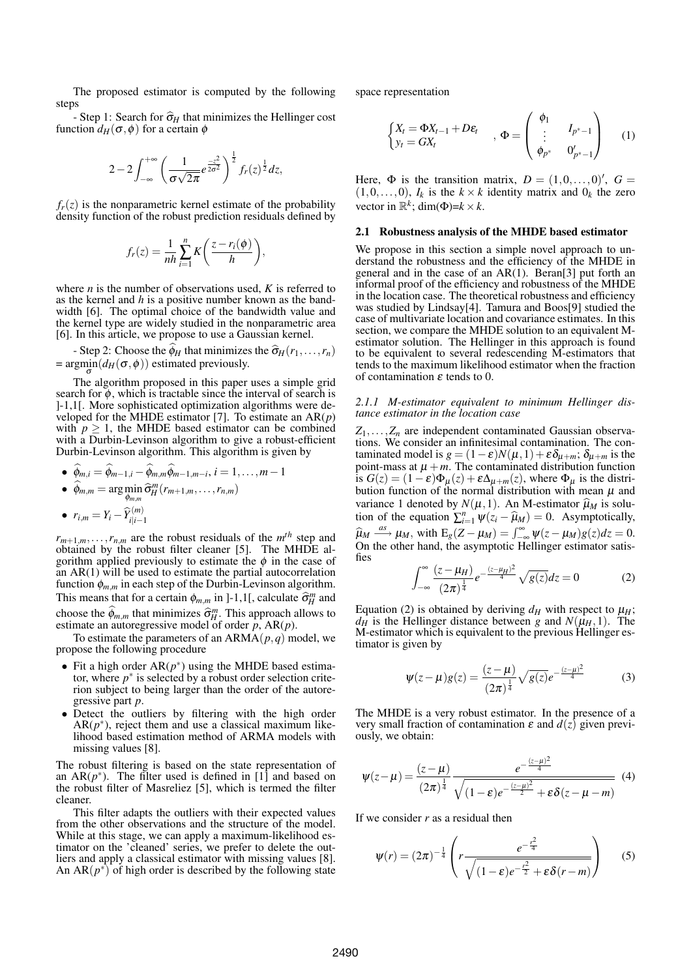The proposed estimator is computed by the following steps

- Step 1: Search for  $\hat{\sigma}_H$  that minimizes the Hellinger cost function  $d_H(\sigma, \phi)$  for a certain  $\phi$ 

$$
2 - 2 \int_{-\infty}^{+\infty} \left( \frac{1}{\sigma \sqrt{2\pi}} e^{\frac{-z^2}{2\sigma^2}} \right)^{\frac{1}{2}} f_r(z)^{\frac{1}{2}} dz,
$$

 $f_r(z)$  is the nonparametric kernel estimate of the probability density function of the robust prediction residuals defined by

$$
f_r(z) = \frac{1}{nh} \sum_{i=1}^n K\left(\frac{z - r_i(\phi)}{h}\right),
$$

where *n* is the number of observations used, *K* is referred to as the kernel and *h* is a positive number known as the bandwidth [6]. The optimal choice of the bandwidth value and the kernel type are widely studied in the nonparametric area [6]. In this article, we propose to use a Gaussian kernel.

- Step 2: Choose the  $\phi$ *H* that minimizes the  $\hat{\sigma}_H(r_1,...,r_n)$  $= \operatorname{argmin}_{\sigma}(d_H(\sigma, \phi))$  estimated previously.

The algorithm proposed in this paper uses a simple grid search for  $\phi$ , which is tractable since the interval of search is ]-1,1[. More sophisticated optimization algorithms were developed for the MHDE estimator [7]. To estimate an  $AR(p)$ with  $p > 1$ , the MHDE based estimator can be combined with a Durbin-Levinson algorithm to give a robust-efficient Durbin-Levinson algorithm. This algorithm is given by

$$
\bullet \quad \widehat{\phi}_{m,i} = \widehat{\phi}_{m-1,i} - \widehat{\phi}_{m,m} \widehat{\phi}_{m-1,m-i}, \, i = 1, \ldots, m-1
$$

 $\widehat{\phi}_{m,m} = \arg \min_{\phi_{m,m}} \widehat{\sigma}_H^m(r_{m+1,m}, \ldots, r_{n,m})$ 

•  $r_{i,m} = Y_i - \widehat{Y}_{i}^{(m)}$ *i*|*i*−1

 $r_{m+1,m}, \ldots, r_{n,m}$  are the robust residuals of the  $m^{th}$  step and obtained by the robust filter cleaner [5]. The MHDE algorithm applied previously to estimate the  $\phi$  in the case of an AR(1) will be used to estimate the partial autocorrelation function  $\phi_{m,m}$  in each step of the Durbin-Levinson algorithm. This means that for a certain  $\phi_{m,m}$  in ]-1,1[, calculate  $\widehat{\sigma}_H^m$  and choose the  $\widehat{\phi}_{m,m}$  that minimizes  $\widehat{\sigma}_{H}^{m}$ . This approach allows to estimate an autoregressive model of order *p*, AR(*p*).

To estimate the parameters of an ARMA(*p*,*q*) model, we propose the following procedure

- Fit a high order  $AR(p^*)$  using the MHDE based estimator, where  $p^*$  is selected by a robust order selection criterion subject to being larger than the order of the autoregressive part *p*.
- Detect the outliers by filtering with the high order  $AR(p^*)$ , reject them and use a classical maximum likelihood based estimation method of ARMA models with missing values [8].

The robust filtering is based on the state representation of an  $AR(p^*)$ . The filter used is defined in [1] and based on the robust filter of Masreliez [5], which is termed the filter cleaner.

This filter adapts the outliers with their expected values from the other observations and the structure of the model. While at this stage, we can apply a maximum-likelihood estimator on the 'cleaned' series, we prefer to delete the outliers and apply a classical estimator with missing values [8]. An  $AR(p^*)$  of high order is described by the following state

space representation

$$
\begin{cases}\nX_t = \Phi X_{t-1} + D\varepsilon_t \\
y_t = GX_t\n\end{cases}, \Phi = \begin{pmatrix}\n\phi_1 & I_{p^*-1} \\
\vdots & 0_{p^*-1} \\
\phi_{p^*} & 0_{p^*-1}'\n\end{pmatrix}
$$
\n(1)

Here,  $\Phi$  is the transition matrix,  $D = (1, 0, \ldots, 0)$ ,  $G =$  $(1,0,\ldots,0)$ ,  $I_k$  is the  $k \times k$  identity matrix and  $0_k$  the zero vector in  $\mathbb{R}^k$ ; dim( $\Phi$ )= $k \times k$ .

# 2.1 Robustness analysis of the MHDE based estimator

We propose in this section a simple novel approach to understand the robustness and the efficiency of the MHDE in general and in the case of an AR(1). Beran[3] put forth an informal proof of the efficiency and robustness of the MHDE in the location case. The theoretical robustness and efficiency was studied by Lindsay[4]. Tamura and Boos[9] studied the case of multivariate location and covariance estimates. In this section, we compare the MHDE solution to an equivalent Mestimator solution. The Hellinger in this approach is found to be equivalent to several redescending M-estimators that tends to the maximum likelihood estimator when the fraction of contamination  $\varepsilon$  tends to 0.

#### *2.1.1 M-estimator equivalent to minimum Hellinger distance estimator in the location case*

 $Z_1, \ldots, Z_n$  are independent contaminated Gaussian observations. We consider an infinitesimal contamination. The contaminated model is  $g = (1 - \varepsilon)N(\mu, 1) + \varepsilon \delta_{\mu+m}$ ;  $\delta_{\mu+m}$  is the point-mass at  $\mu + m$ . The contaminated distribution function is  $G(z) = (1 - \varepsilon)\Phi_{\mu}(z) + \varepsilon\Delta_{\mu+m}(z)$ , where  $\Phi_{\mu}$  is the distribution function of the normal distribution with mean  $\mu$  and variance 1 denoted by  $N(\mu,1)$ . An M-estimator  $\hat{\mu}_M$  is solution of the equation  $\sum_{i=1}^{n} \psi(z_i - \widehat{\mu}_M) = 0$ . Asymptotically,  $\hat{\mu}_M \stackrel{dS}{\longrightarrow} \mu_M$ , with  $E_g(Z - \mu_M) = \int_{-\infty}^{\infty} \psi(z - \mu_M)g(z)dz = 0$ . On the other hand, the asymptotic Hellinger estimator satisfies

$$
\int_{-\infty}^{\infty} \frac{(z - \mu_H)}{(2\pi)^{\frac{1}{4}}} e^{-\frac{(z - \mu_H)^2}{4}} \sqrt{g(z)} dz = 0
$$
 (2)

Equation (2) is obtained by deriving  $d_H$  with respect to  $\mu_H$ ;  $d_H$  is the Hellinger distance between *g* and  $N(\mu_H, 1)$ . The M-estimator which is equivalent to the previous Hellinger estimator is given by

$$
\psi(z-\mu)g(z) = \frac{(z-\mu)}{(2\pi)^{\frac{1}{4}}} \sqrt{g(z)} e^{-\frac{(z-\mu)^2}{4}} \tag{3}
$$

The MHDE is a very robust estimator. In the presence of a very small fraction of contamination  $\varepsilon$  and  $d(z)$  given previously, we obtain:

$$
\psi(z-\mu) = \frac{(z-\mu)}{(2\pi)^{\frac{1}{4}}} \frac{e^{-\frac{(z-\mu)^2}{4}}}{\sqrt{(1-\varepsilon)e^{-\frac{(z-\mu)^2}{2}}} + \varepsilon \delta(z-\mu-m)}
$$
(4)

If we consider *r* as a residual then

$$
\psi(r) = (2\pi)^{-\frac{1}{4}} \left( r \frac{e^{-\frac{r^2}{4}}}{\sqrt{(1-\varepsilon)e^{-\frac{r^2}{2}} + \varepsilon \delta(r-m)}} \right) \tag{5}
$$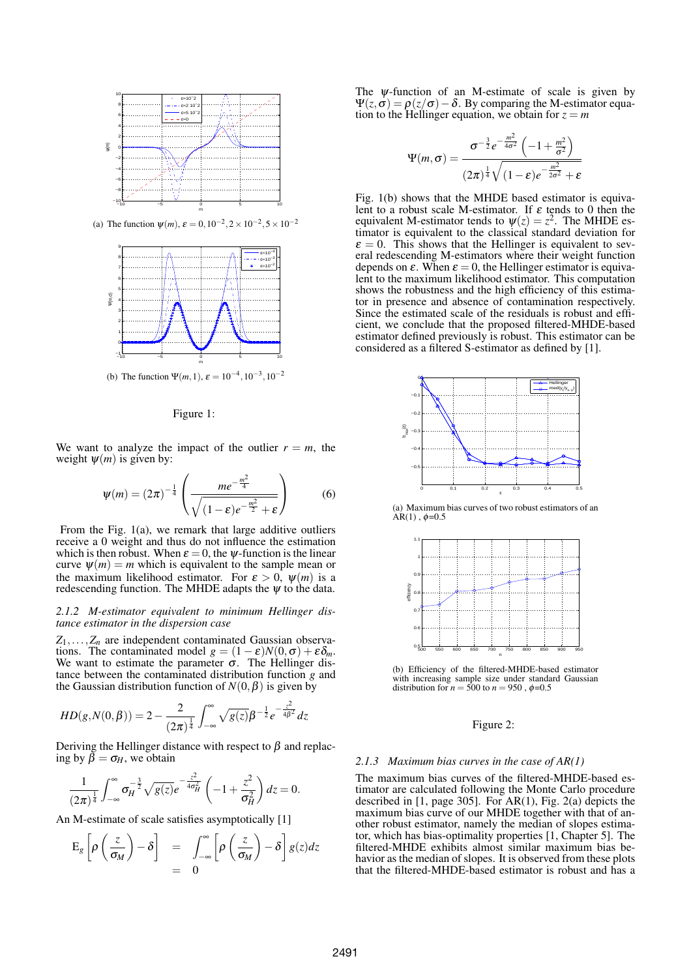

(a) The function  $\psi(m)$ ,  $\varepsilon = 0$ ,  $10^{-2}$ ,  $2 \times 10^{-2}$ ,  $5 \times 10^{-2}$ 



(b) The function  $\Psi(m, 1)$ ,  $\varepsilon = 10^{-4}$ ,  $10^{-3}$ ,  $10^{-2}$ 

# Figure 1:

We want to analyze the impact of the outlier  $r = m$ , the weight  $\psi(m)$  is given by:

$$
\psi(m) = (2\pi)^{-\frac{1}{4}} \left( \frac{me^{-\frac{m^2}{4}}}{\sqrt{(1-\varepsilon)e^{-\frac{m^2}{2}} + \varepsilon}} \right)
$$
(6)

From the Fig. 1(a), we remark that large additive outliers receive a 0 weight and thus do not influence the estimation which is then robust. When  $\varepsilon = 0$ , the  $\psi$ -function is the linear curve  $\psi(m) = m$  which is equivalent to the sample mean or the maximum likelihood estimator. For  $\varepsilon > 0$ ,  $\psi(m)$  is a redescending function. The MHDE adapts the  $\psi$  to the data.

#### *2.1.2 M-estimator equivalent to minimum Hellinger distance estimator in the dispersion case*

*Z*1,...,*Z<sup>n</sup>* are independent contaminated Gaussian observations. The contaminated model  $g = (1 - \varepsilon)N(0, \sigma) + \varepsilon \delta_m$ . We want to estimate the parameter  $\sigma$ . The Hellinger distance between the contaminated distribution function *g* and the Gaussian distribution function of  $N(0, \beta)$  is given by

$$
HD(g, N(0, \beta)) = 2 - \frac{2}{(2\pi)^{\frac{1}{4}}} \int_{-\infty}^{\infty} \sqrt{g(z)} \beta^{-\frac{1}{2}} e^{-\frac{z^2}{4\beta^2}} dz
$$

Deriving the Hellinger distance with respect to  $\beta$  and replacing by  $\beta = \sigma_H$ , we obtain

$$
\frac{1}{(2\pi)^{\frac{1}{4}}} \int_{-\infty}^{\infty} \sigma_H^{-\frac{3}{2}} \sqrt{g(z)} e^{-\frac{z^2}{4\sigma_H^2}} \left(-1 + \frac{z^2}{\sigma_H^2}\right) dz = 0.
$$

An M-estimate of scale satisfies asymptotically [1]

$$
\mathcal{E}_{g}\left[\rho\left(\frac{z}{\sigma_{M}}\right)-\delta\right] = \int_{-\infty}^{\infty}\left[\rho\left(\frac{z}{\sigma_{M}}\right)-\delta\right]g(z)dz
$$

The  $\psi$ -function of an M-estimate of scale is given by  $Ψ(z, σ) = ρ(z/σ) - δ$ . By comparing the M-estimator equation to the Hellinger equation, we obtain for  $z = m$ 

$$
\Psi(m,\sigma) = \frac{\sigma^{-\frac{3}{2}}e^{-\frac{m^2}{4\sigma^2}}\left(-1 + \frac{m^2}{\sigma^2}\right)}{(2\pi)^{\frac{1}{4}}\sqrt{(1-\varepsilon)e^{-\frac{m^2}{2\sigma^2}}+\varepsilon}}
$$

Fig. 1(b) shows that the MHDE based estimator is equivalent to a robust scale M-estimator. If  $\varepsilon$  tends to 0 then the equivalent M-estimator tends to  $\psi(z) = z^2$ . The MHDE estimator is equivalent to the classical standard deviation for  $\varepsilon = 0$ . This shows that the Hellinger is equivalent to several redescending M-estimators where their weight function depends on  $\varepsilon$ . When  $\varepsilon = 0$ , the Hellinger estimator is equivalent to the maximum likelihood estimator. This computation shows the robustness and the high efficiency of this estimator in presence and absence of contamination respectively. Since the estimated scale of the residuals is robust and efficient, we conclude that the proposed filtered-MHDE-based estimator defined previously is robust. This estimator can be considered as a filtered S-estimator as defined by [1].



(a) Maximum bias curves of two robust estimators of an  $AR(1)$ ,  $\phi=0.5$ 



(b) Efficiency of the filtered-MHDE-based estimator with increasing sample size under standard Gaussian distribution for  $n = 500$  to  $n = 950$ ,  $\phi = 0.5$ 

#### Figure 2:

#### *2.1.3 Maximum bias curves in the case of AR(1)*

The maximum bias curves of the filtered-MHDE-based estimator are calculated following the Monte Carlo procedure described in [1, page 305]. For AR(1), Fig. 2(a) depicts the maximum bias curve of our MHDE together with that of another robust estimator, namely the median of slopes estimator, which has bias-optimality properties [1, Chapter 5]. The filtered-MHDE exhibits almost similar maximum bias behavior as the median of slopes. It is observed from these plots that the filtered-MHDE-based estimator is robust and has a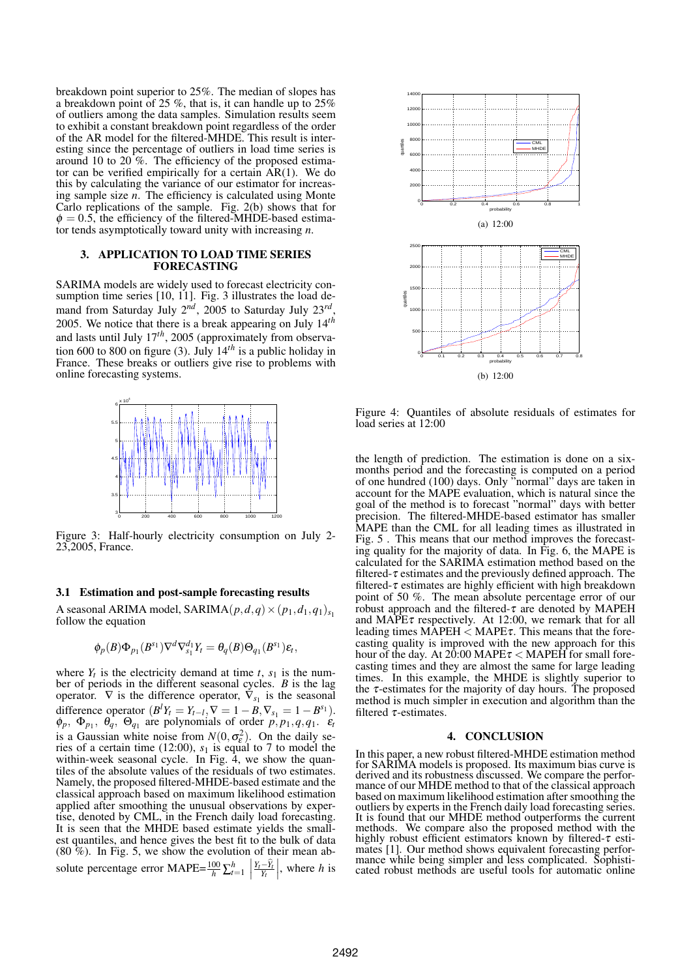breakdown point superior to 25%. The median of slopes has a breakdown point of 25 %, that is, it can handle up to 25% of outliers among the data samples. Simulation results seem to exhibit a constant breakdown point regardless of the order of the AR model for the filtered-MHDE. This result is interesting since the percentage of outliers in load time series is around 10 to 20  $\%$ . The efficiency of the proposed estimator can be verified empirically for a certain  $AR(1)$ . We do this by calculating the variance of our estimator for increasing sample size *n*. The efficiency is calculated using Monte Carlo replications of the sample. Fig. 2(b) shows that for  $\phi = 0.5$ , the efficiency of the filtered-MHDE-based estimator tends asymptotically toward unity with increasing *n*.

#### 3. APPLICATION TO LOAD TIME SERIES FORECASTING

SARIMA models are widely used to forecast electricity consumption time series [10, 11]. Fig. 3 illustrates the load demand from Saturday July 2<sup>nd</sup>, 2005 to Saturday July 23<sup>rd</sup>, 2005. We notice that there is a break appearing on July 14*th* and lasts until July 17*th*, 2005 (approximately from observation 600 to 800 on figure (3). July 14*th* is a public holiday in France. These breaks or outliers give rise to problems with online forecasting systems.



Figure 3: Half-hourly electricity consumption on July 2- 23,2005, France.

# 3.1 Estimation and post-sample forecasting results

A seasonal ARIMA model, SARIMA $(p,d,q) \times (p_1,d_1,q_1)_{s_1}$ follow the equation

$$
\phi_p(B)\Phi_{p_1}(B^{s_1})\nabla^d\nabla_{s_1}^{d_1}Y_t=\theta_q(B)\Theta_{q_1}(B^{s_1})\varepsilon_t,
$$

where  $Y_t$  is the electricity demand at time  $t$ ,  $s_1$  is the number of periods in the different seasonal cycles. *B* is the lag operator.  $\nabla$  is the difference operator,  $\nabla_{s_1}$  is the seasonal difference operator  $(B^l Y_t = Y_{t-l}, \nabla = 1 - B, \nabla_{s_1} = 1 - B^{s_1}).$  $\phi_p$ ,  $\Phi_{p_1}$ ,  $\theta_q$ ,  $\Theta_{q_1}$  are polynomials of order  $p, p_1, q, q_1$ .  $\varepsilon_p$ is a Gaussian white noise from  $N(0, \sigma_{\varepsilon}^2)$ . On the daily series of a certain time (12:00), *s*<sup>1</sup> is equal to 7 to model the within-week seasonal cycle. In Fig. 4, we show the quantiles of the absolute values of the residuals of two estimates. Namely, the proposed filtered-MHDE-based estimate and the classical approach based on maximum likelihood estimation applied after smoothing the unusual observations by expertise, denoted by CML, in the French daily load forecasting. It is seen that the MHDE based estimate yields the smallest quantiles, and hence gives the best fit to the bulk of data (80 %). In Fig. 5, we show the evolution of their mean absolute percentage error MAPE= $\frac{100}{h} \sum_{t=1}^{h} \left| \frac{Y_t - \hat{Y}_t}{Y_t} \right|$  $\vert$ , where *h* is



Figure 4: Quantiles of absolute residuals of estimates for load series at 12:00

the length of prediction. The estimation is done on a sixmonths period and the forecasting is computed on a period of one hundred (100) days. Only "normal" days are taken in account for the MAPE evaluation, which is natural since the goal of the method is to forecast "normal" days with better precision. The filtered-MHDE-based estimator has smaller MAPE than the CML for all leading times as illustrated in Fig. 5 . This means that our method improves the forecasting quality for the majority of data. In Fig. 6, the MAPE is calculated for the SARIMA estimation method based on the filtered- $\tau$  estimates and the previously defined approach. The filtered- $\tau$  estimates are highly efficient with high breakdown point of 50 %. The mean absolute percentage error of our robust approach and the filtered-<sup>τ</sup> are denoted by MAPEH and  $MAPE\tau$  respectively. At 12:00, we remark that for all leading times  $M$ APEH  $\leq$  MAPE $\tau$ . This means that the forecasting quality is improved with the new approach for this hour of the day. At  $20:00$  MAPE $\tau$  < MAPEH for small forecasting times and they are almost the same for large leading times. In this example, the MHDE is slightly superior to the  $\tau$ -estimates for the majority of day hours. The proposed method is much simpler in execution and algorithm than the filtered  $\tau$ -estimates.

### 4. CONCLUSION

In this paper, a new robust filtered-MHDE estimation method for SARIMA models is proposed. Its maximum bias curve is derived and its robustness discussed. We compare the performance of our MHDE method to that of the classical approach based on maximum likelihood estimation after smoothing the outliers by experts in the French daily load forecasting series. It is found that our MHDE method outperforms the current methods. We compare also the proposed method with the highly robust efficient estimators known by filtered- $\tau$  estimates [1]. Our method shows equivalent forecasting performance while being simpler and less complicated. Sophisticated robust methods are useful tools for automatic online